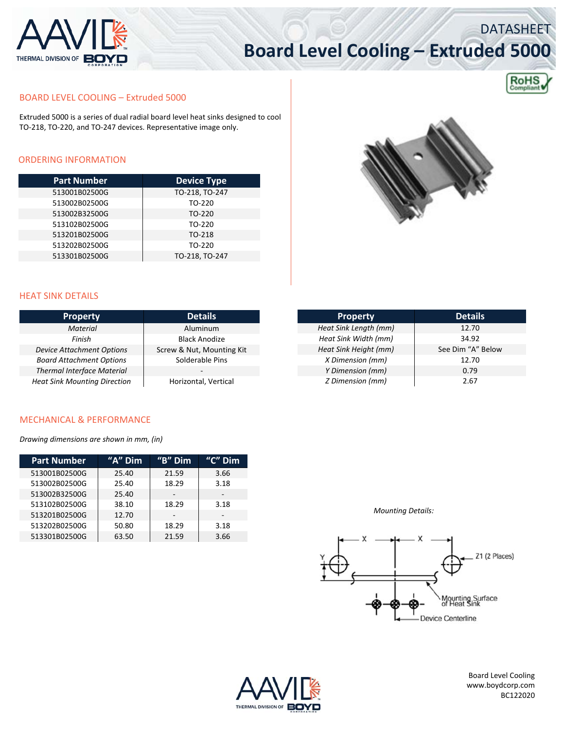

# **Board Level Cooling – Extruded 5000**



DATASHEET

#### BOARD LEVEL COOLING – Extruded 5000

Extruded 5000 is a series of dual radial board level heat sinks designed to cool TO‐218, TO‐220, and TO‐247 devices. Representative image only.

### ORDERING INFORMATION

| <b>Part Number</b> | <b>Device Type</b> |  |  |
|--------------------|--------------------|--|--|
| 513001B02500G      | TO-218, TO-247     |  |  |
| 513002B02500G      | TO-220             |  |  |
| 513002B32500G      | TO-220             |  |  |
| 513102B02500G      | TO-220             |  |  |
| 513201B02500G      | TO-218             |  |  |
| 513202B02500G      | TO-220             |  |  |
| 513301B02500G      | TO-218, TO-247     |  |  |



#### HEAT SINK DETAILS

| <b>Property</b>                     | <b>Details</b>            |  |
|-------------------------------------|---------------------------|--|
| <b>Material</b>                     | Aluminum                  |  |
| Finish                              | <b>Black Anodize</b>      |  |
| <b>Device Attachment Options</b>    | Screw & Nut, Mounting Kit |  |
| <b>Board Attachment Options</b>     | Solderable Pins           |  |
| <b>Thermal Interface Material</b>   |                           |  |
| <b>Heat Sink Mounting Direction</b> | Horizontal, Vertical      |  |

| <b>Property</b>       | <b>Details</b>    |  |  |
|-----------------------|-------------------|--|--|
| Heat Sink Length (mm) | 12.70             |  |  |
| Heat Sink Width (mm)  | 34.92             |  |  |
| Heat Sink Height (mm) | See Dim "A" Below |  |  |
| X Dimension (mm)      | 12.70             |  |  |
| Y Dimension (mm)      | 0.79              |  |  |
| Z Dimension (mm)      | 2.67              |  |  |

#### MECHANICAL & PERFORMANCE

*Drawing dimensions are shown in mm, (in)*

| <b>Part Number</b> | "A" Dim | $H$ <sup>"B"</sup> Dim | " $C$ " Dim              |
|--------------------|---------|------------------------|--------------------------|
| 513001B02500G      | 25.40   | 21.59                  | 3.66                     |
| 513002B02500G      | 25.40   | 18.29                  | 3.18                     |
| 513002B32500G      | 25.40   |                        | $\overline{\phantom{a}}$ |
| 513102B02500G      | 38.10   | 18.29                  | 3.18                     |
| 513201B02500G      | 12.70   |                        |                          |
| 513202B02500G      | 50.80   | 18.29                  | 3.18                     |
| 513301B02500G      | 63.50   | 21.59                  | 3.66                     |

*Mounting Details:*





Board Level Cooling www.boydcorp.com BC122020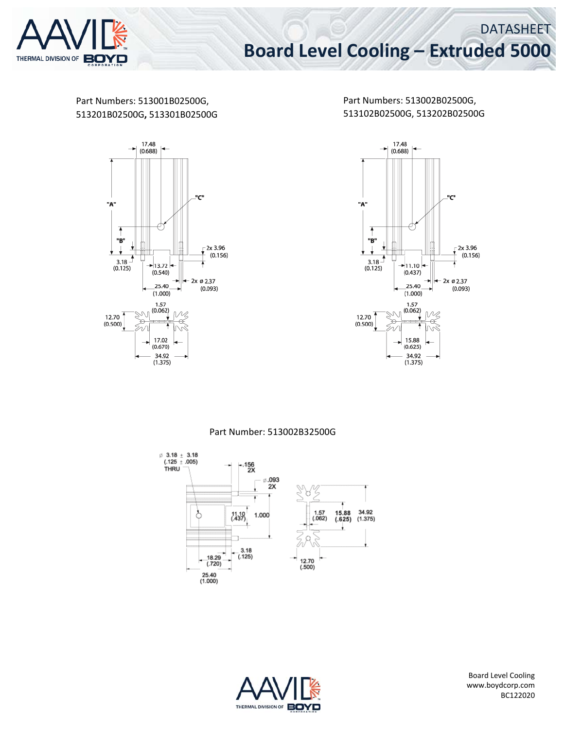

Part Numbers: 513001B02500G, 513201B02500G**,** 513301B02500G



Part Numbers: 513002B02500G, 513102B02500G, 513202B02500G



Part Number: 513002B32500G





Board Level Cooling www.boydcorp.com BC122020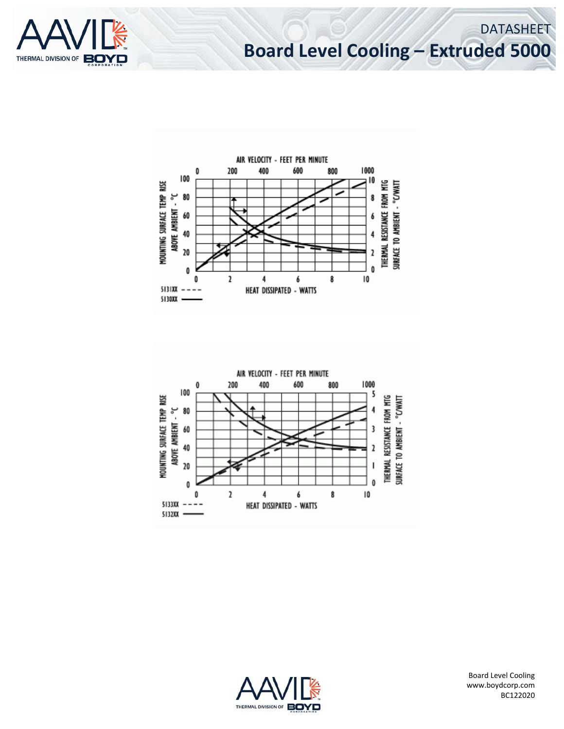

## **Board Level Cooling – Extruded 5000**

DATASHEET







Board Level Cooling www.boydcorp.com BC122020